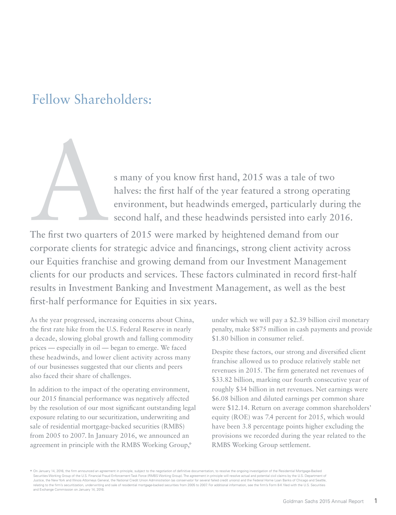# Fellow Shareholders:

s many of you know first hand, 2015 was a tale of two<br>halves: the first half of the year featured a strong operat<br>environment, but headwinds emerged, particularly duri<br>second half, and these headwinds persisted into early halves: the first half of the year featured a strong operating environment, but headwinds emerged, particularly during the second half, and these headwinds persisted into early 2016.

The first two quarters of 2015 were marked by heightened demand from our corporate clients for strategic advice and financings, strong client activity across our Equities franchise and growing demand from our Investment Management clients for our products and services. These factors culminated in record first-half results in Investment Banking and Investment Management, as well as the best first-half performance for Equities in six years.

As the year progressed, increasing concerns about China, the first rate hike from the U.S. Federal Reserve in nearly a decade, slowing global growth and falling commodity prices — especially in oil — began to emerge. We faced these headwinds, and lower client activity across many of our businesses suggested that our clients and peers also faced their share of challenges.

In addition to the impact of the operating environment, our 2015 financial performance was negatively affected by the resolution of our most significant outstanding legal exposure relating to our securitization, underwriting and sale of residential mortgage-backed securities (RMBS) from 2005 to 2007. In January 2016, we announced an agreement in principle with the RMBS Working Group,\*

under which we will pay a \$2.39 billion civil monetary penalty, make \$875 million in cash payments and provide \$1.80 billion in consumer relief.

Despite these factors, our strong and diversified client franchise allowed us to produce relatively stable net revenues in 2015. The firm generated net revenues of \$33.82 billion, marking our fourth consecutive year of roughly \$34 billion in net revenues. Net earnings were \$6.08 billion and diluted earnings per common share were \$12.14. Return on average common shareholders' equity (ROE) was 7.4 percent for 2015, which would have been 3.8 percentage points higher excluding the provisions we recorded during the year related to the RMBS Working Group settlement.

\* On January 14, 2016, the firm announced an agreement in principle, subject to the negotiation of definitive documentation, to resolve the ongoing investigation of the Residential Mortgage-Backed Securities Working Group of the U.S. Financial Fraud Enforcement Task Force (RMBS Working Group). The agreement in principle will resolve actual and potential civil claims by the U.S. Department of Justice, the New York and Illinois Attorneys General, the National Credit Union Administration (as conservator for several failed credit unions) and the Federal Home Loan Banks of Chicago and Seattle, relating to the firm's securitization, underwriting and sale of residential mortgage-backed securities from 2005 to 2007. For additional information, see the firm's Form 8-K filed with the U.S. Securities and Exchange Commission on January 14, 2016.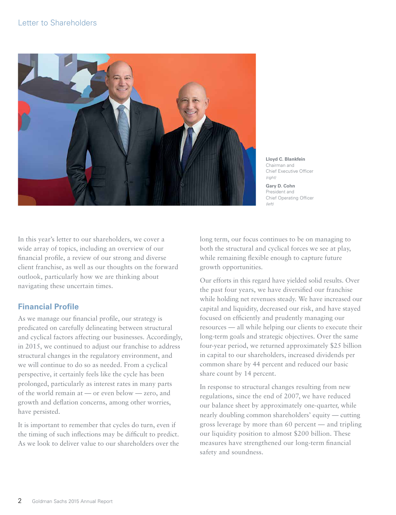

**Lloyd C. Blankfein** Chairman and Chief Executive Officer *(right)*

**Gary D. Cohn** President and Chief Operating Officer *(left)*

In this year's letter to our shareholders, we cover a wide array of topics, including an overview of our financial profile, a review of our strong and diverse client franchise, as well as our thoughts on the forward outlook, particularly how we are thinking about navigating these uncertain times.

# **Financial Profile**

As we manage our financial profile, our strategy is predicated on carefully delineating between structural and cyclical factors affecting our businesses. Accordingly, in 2015, we continued to adjust our franchise to address structural changes in the regulatory environment, and we will continue to do so as needed. From a cyclical perspective, it certainly feels like the cycle has been prolonged, particularly as interest rates in many parts of the world remain at — or even below — zero, and growth and deflation concerns, among other worries, have persisted.

It is important to remember that cycles do turn, even if the timing of such inflections may be difficult to predict. As we look to deliver value to our shareholders over the long term, our focus continues to be on managing to both the structural and cyclical forces we see at play, while remaining flexible enough to capture future growth opportunities.

Our efforts in this regard have yielded solid results. Over the past four years, we have diversified our franchise while holding net revenues steady. We have increased our capital and liquidity, decreased our risk, and have stayed focused on efficiently and prudently managing our resources — all while helping our clients to execute their long-term goals and strategic objectives. Over the same four-year period, we returned approximately \$25 billion in capital to our shareholders, increased dividends per common share by 44 percent and reduced our basic share count by 14 percent.

In response to structural changes resulting from new regulations, since the end of 2007, we have reduced our balance sheet by approximately one-quarter, while nearly doubling common shareholders' equity — cutting gross leverage by more than 60 percent — and tripling our liquidity position to almost \$200 billion. These measures have strengthened our long-term financial safety and soundness.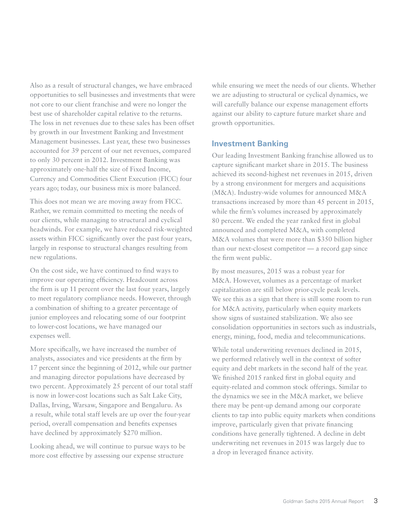Also as a result of structural changes, we have embraced opportunities to sell businesses and investments that were not core to our client franchise and were no longer the best use of shareholder capital relative to the returns. The loss in net revenues due to these sales has been offset by growth in our Investment Banking and Investment Management businesses. Last year, these two businesses accounted for 39 percent of our net revenues, compared to only 30 percent in 2012. Investment Banking was approximately one-half the size of Fixed Income, Currency and Commodities Client Execution (FICC) four years ago; today, our business mix is more balanced.

This does not mean we are moving away from FICC. Rather, we remain committed to meeting the needs of our clients, while managing to structural and cyclical headwinds. For example, we have reduced risk-weighted assets within FICC significantly over the past four years, largely in response to structural changes resulting from new regulations.

On the cost side, we have continued to find ways to improve our operating efficiency. Headcount across the firm is up 11 percent over the last four years, largely to meet regulatory compliance needs. However, through a combination of shifting to a greater percentage of junior employees and relocating some of our footprint to lower-cost locations, we have managed our expenses well.

More specifically, we have increased the number of analysts, associates and vice presidents at the firm by 17 percent since the beginning of 2012, while our partner and managing director populations have decreased by two percent. Approximately 25 percent of our total staff is now in lower-cost locations such as Salt Lake City, Dallas, Irving, Warsaw, Singapore and Bengaluru. As a result, while total staff levels are up over the four-year period, overall compensation and benefits expenses have declined by approximately \$270 million.

Looking ahead, we will continue to pursue ways to be more cost effective by assessing our expense structure

while ensuring we meet the needs of our clients. Whether we are adjusting to structural or cyclical dynamics, we will carefully balance our expense management efforts against our ability to capture future market share and growth opportunities.

## **Investment Banking**

Our leading Investment Banking franchise allowed us to capture significant market share in 2015. The business achieved its second-highest net revenues in 2015, driven by a strong environment for mergers and acquisitions (M&A). Industry-wide volumes for announced M&A transactions increased by more than 45 percent in 2015, while the firm's volumes increased by approximately 80 percent. We ended the year ranked first in global announced and completed M&A, with completed M&A volumes that were more than \$350 billion higher than our next-closest competitor — a record gap since the firm went public.

By most measures, 2015 was a robust year for M&A. However, volumes as a percentage of market capitalization are still below prior-cycle peak levels. We see this as a sign that there is still some room to run for M&A activity, particularly when equity markets show signs of sustained stabilization. We also see consolidation opportunities in sectors such as industrials, energy, mining, food, media and telecommunications.

While total underwriting revenues declined in 2015, we performed relatively well in the context of softer equity and debt markets in the second half of the year. We finished 2015 ranked first in global equity and equity-related and common stock offerings. Similar to the dynamics we see in the M&A market, we believe there may be pent-up demand among our corporate clients to tap into public equity markets when conditions improve, particularly given that private financing conditions have generally tightened. A decline in debt underwriting net revenues in 2015 was largely due to a drop in leveraged finance activity.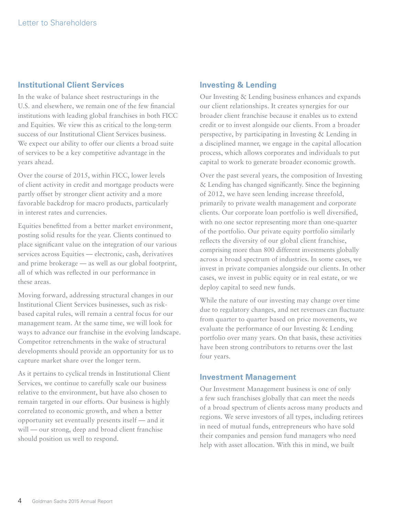# **Institutional Client Services**

In the wake of balance sheet restructurings in the U.S. and elsewhere, we remain one of the few financial institutions with leading global franchises in both FICC and Equities. We view this as critical to the long-term success of our Institutional Client Services business. We expect our ability to offer our clients a broad suite of services to be a key competitive advantage in the years ahead.

Over the course of 2015, within FICC, lower levels of client activity in credit and mortgage products were partly offset by stronger client activity and a more favorable backdrop for macro products, particularly in interest rates and currencies.

Equities benefitted from a better market environment, posting solid results for the year. Clients continued to place significant value on the integration of our various services across Equities — electronic, cash, derivatives and prime brokerage — as well as our global footprint, all of which was reflected in our performance in these areas.

Moving forward, addressing structural changes in our Institutional Client Services businesses, such as riskbased capital rules, will remain a central focus for our management team. At the same time, we will look for ways to advance our franchise in the evolving landscape. Competitor retrenchments in the wake of structural developments should provide an opportunity for us to capture market share over the longer term.

As it pertains to cyclical trends in Institutional Client Services, we continue to carefully scale our business relative to the environment, but have also chosen to remain targeted in our efforts. Our business is highly correlated to economic growth, and when a better opportunity set eventually presents itself — and it will — our strong, deep and broad client franchise should position us well to respond.

# **Investing & Lending**

Our Investing & Lending business enhances and expands our client relationships. It creates synergies for our broader client franchise because it enables us to extend credit or to invest alongside our clients. From a broader perspective, by participating in Investing & Lending in a disciplined manner, we engage in the capital allocation process, which allows corporates and individuals to put capital to work to generate broader economic growth.

Over the past several years, the composition of Investing & Lending has changed significantly. Since the beginning of 2012, we have seen lending increase threefold, primarily to private wealth management and corporate clients. Our corporate loan portfolio is well diversified, with no one sector representing more than one-quarter of the portfolio. Our private equity portfolio similarly reflects the diversity of our global client franchise, comprising more than 800 different investments globally across a broad spectrum of industries. In some cases, we invest in private companies alongside our clients. In other cases, we invest in public equity or in real estate, or we deploy capital to seed new funds.

While the nature of our investing may change over time due to regulatory changes, and net revenues can fluctuate from quarter to quarter based on price movements, we evaluate the performance of our Investing & Lending portfolio over many years. On that basis, these activities have been strong contributors to returns over the last four years.

## **Investment Management**

Our Investment Management business is one of only a few such franchises globally that can meet the needs of a broad spectrum of clients across many products and regions. We serve investors of all types, including retirees in need of mutual funds, entrepreneurs who have sold their companies and pension fund managers who need help with asset allocation. With this in mind, we built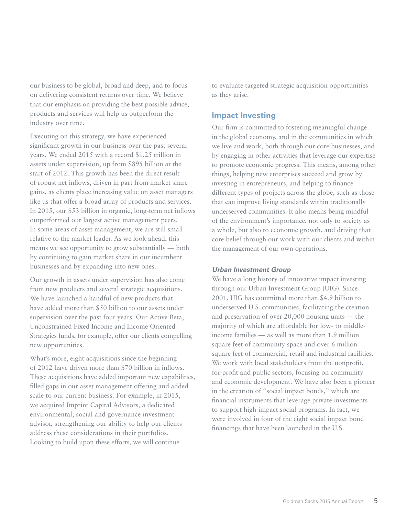our business to be global, broad and deep, and to focus on delivering consistent returns over time. We believe that our emphasis on providing the best possible advice, products and services will help us outperform the industry over time.

Executing on this strategy, we have experienced significant growth in our business over the past several years. We ended 2015 with a record \$1.25 trillion in assets under supervision, up from \$895 billion at the start of 2012. This growth has been the direct result of robust net inflows, driven in part from market share gains, as clients place increasing value on asset managers like us that offer a broad array of products and services. In 2015, our \$53 billion in organic, long-term net inflows outperformed our largest active management peers. In some areas of asset management, we are still small relative to the market leader. As we look ahead, this means we see opportunity to grow substantially — both by continuing to gain market share in our incumbent businesses and by expanding into new ones.

Our growth in assets under supervision has also come from new products and several strategic acquisitions. We have launched a handful of new products that have added more than \$50 billion to our assets under supervision over the past four years. Our Active Beta, Unconstrained Fixed Income and Income Oriented Strategies funds, for example, offer our clients compelling new opportunities.

What's more, eight acquisitions since the beginning of 2012 have driven more than \$70 billion in inflows. These acquisitions have added important new capabilities, filled gaps in our asset management offering and added scale to our current business. For example, in 2015, we acquired Imprint Capital Advisors, a dedicated environmental, social and governance investment advisor, strengthening our ability to help our clients address these considerations in their portfolios. Looking to build upon these efforts, we will continue

to evaluate targeted strategic acquisition opportunities as they arise.

# **Impact Investing**

Our firm is committed to fostering meaningful change in the global economy, and in the communities in which we live and work, both through our core businesses, and by engaging in other activities that leverage our expertise to promote economic progress. This means, among other things, helping new enterprises succeed and grow by investing in entrepreneurs, and helping to finance different types of projects across the globe, such as those that can improve living standards within traditionally underserved communities. It also means being mindful of the environment's importance, not only to society as a whole, but also to economic growth, and driving that core belief through our work with our clients and within the management of our own operations.

#### *Urban Investment Group*

We have a long history of innovative impact investing through our Urban Investment Group (UIG). Since 2001, UIG has committed more than \$4.9 billion to underserved U.S. communities, facilitating the creation and preservation of over 20,000 housing units — the majority of which are affordable for low- to middleincome families — as well as more than 1.9 million square feet of community space and over 6 million square feet of commercial, retail and industrial facilities. We work with local stakeholders from the nonprofit, for-profit and public sectors, focusing on community and economic development. We have also been a pioneer in the creation of "social impact bonds," which are financial instruments that leverage private investments to support high-impact social programs. In fact, we were involved in four of the eight social impact bond financings that have been launched in the U.S.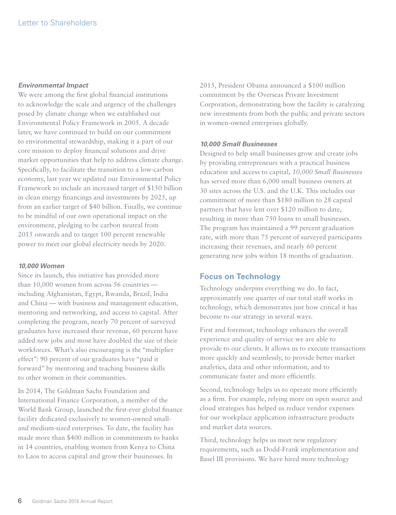#### *Environmental Impact*

We were among the first global financial institutions to acknowledge the scale and urgency of the challenges posed by climate change when we established our Environmental Policy Framework in 2005. A decade later, we have continued to build on our commitment to environmental stewardship, making it a part of our core mission to deploy financial solutions and drive market opportunities that help to address climate change. Specifically, to facilitate the transition to a low-carbon economy, last year we updated our Environmental Policy Framework to include an increased target of \$150 billion in clean energy financings and investments by 2025, up from an earlier target of \$40 billion. Finally, we continue to be mindful of our own operational impact on the environment, pledging to be carbon neutral from 2015 onwards and to target 100 percent renewable power to meet our global electricity needs by 2020.

#### *10,000 Women*

Since its launch, this initiative has provided more than 10,000 women from across 56 countries including Afghanistan, Egypt, Rwanda, Brazil, India and China — with business and management education, mentoring and networking, and access to capital. After completing the program, nearly 70 percent of surveyed graduates have increased their revenue, 60 percent have added new jobs and most have doubled the size of their workforces. What's also encouraging is the "multiplier effect": 90 percent of our graduates have "paid it forward" by mentoring and teaching business skills to other women in their communities.

In 2014, The Goldman Sachs Foundation and International Finance Corporation, a member of the World Bank Group, launched the first-ever global finance facility dedicated exclusively to women-owned smalland medium-sized enterprises. To date, the facility has made more than \$400 million in commitments to banks in 14 countries, enabling women from Kenya to China to Laos to access capital and grow their businesses. In

2015, President Obama announced a \$100 million commitment by the Overseas Private Investment Corporation, demonstrating how the facility is catalyzing new investments from both the public and private sectors in women-owned enterprises globally.

#### *10,000 Small Businesses*

Designed to help small businesses grow and create jobs by providing entrepreneurs with a practical business education and access to capital, *10,000 Small Businesses* has served more than 6,000 small business owners at 30 sites across the U.S. and the U.K. This includes our commitment of more than \$180 million to 28 capital partners that have lent over \$120 million to date, resulting in more than 750 loans to small businesses. The program has maintained a 99 percent graduation rate, with more than 75 percent of surveyed participants increasing their revenues, and nearly 60 percent generating new jobs within 18 months of graduation.

# **Focus on Technology**

Technology underpins everything we do. In fact, approximately one quarter of our total staff works in technology, which demonstrates just how critical it has become to our strategy in several ways.

First and foremost, technology enhances the overall experience and quality of service we are able to provide to our clients. It allows us to execute transactions more quickly and seamlessly, to provide better market analytics, data and other information, and to communicate faster and more efficiently.

Second, technology helps us to operate more efficiently as a firm. For example, relying more on open source and cloud strategies has helped us reduce vendor expenses for our workplace application infrastructure products and market data sources.

Third, technology helps us meet new regulatory requirements, such as Dodd-Frank implementation and Basel III provisions. We have hired more technology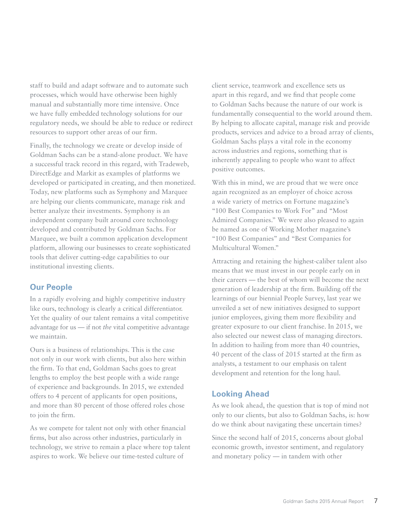staff to build and adapt software and to automate such processes, which would have otherwise been highly manual and substantially more time intensive. Once we have fully embedded technology solutions for our regulatory needs, we should be able to reduce or redirect resources to support other areas of our firm.

Finally, the technology we create or develop inside of Goldman Sachs can be a stand-alone product. We have a successful track record in this regard, with Tradeweb, DirectEdge and Markit as examples of platforms we developed or participated in creating, and then monetized. Today, new platforms such as Symphony and Marquee are helping our clients communicate, manage risk and better analyze their investments. Symphony is an independent company built around core technology developed and contributed by Goldman Sachs. For Marquee, we built a common application development platform, allowing our businesses to create sophisticated tools that deliver cutting-edge capabilities to our institutional investing clients.

# **Our People**

In a rapidly evolving and highly competitive industry like ours, technology is clearly a critical differentiator. Yet the quality of our talent remains a vital competitive advantage for us — if not *the* vital competitive advantage we maintain.

Ours is a business of relationships. This is the case not only in our work with clients, but also here within the firm. To that end, Goldman Sachs goes to great lengths to employ the best people with a wide range of experience and backgrounds. In 2015, we extended offers to 4 percent of applicants for open positions, and more than 80 percent of those offered roles chose to join the firm.

As we compete for talent not only with other financial firms, but also across other industries, particularly in technology, we strive to remain a place where top talent aspires to work. We believe our time-tested culture of

client service, teamwork and excellence sets us apart in this regard, and we find that people come to Goldman Sachs because the nature of our work is fundamentally consequential to the world around them. By helping to allocate capital, manage risk and provide products, services and advice to a broad array of clients, Goldman Sachs plays a vital role in the economy across industries and regions, something that is inherently appealing to people who want to affect positive outcomes.

With this in mind, we are proud that we were once again recognized as an employer of choice across a wide variety of metrics on Fortune magazine's "100 Best Companies to Work For" and "Most Admired Companies." We were also pleased to again be named as one of Working Mother magazine's "100 Best Companies" and "Best Companies for Multicultural Women."

Attracting and retaining the highest-caliber talent also means that we must invest in our people early on in their careers — the best of whom will become the next generation of leadership at the firm. Building off the learnings of our biennial People Survey, last year we unveiled a set of new initiatives designed to support junior employees, giving them more flexibility and greater exposure to our client franchise. In 2015, we also selected our newest class of managing directors. In addition to hailing from more than 40 countries, 40 percent of the class of 2015 started at the firm as analysts, a testament to our emphasis on talent development and retention for the long haul.

# **Looking Ahead**

As we look ahead, the question that is top of mind not only to our clients, but also to Goldman Sachs, is: how do we think about navigating these uncertain times?

Since the second half of 2015, concerns about global economic growth, investor sentiment, and regulatory and monetary policy — in tandem with other